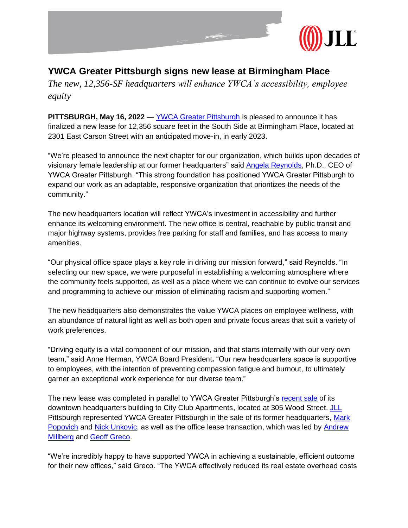

## **YWCA Greater Pittsburgh signs new lease at Birmingham Place**

*The new, 12,356-SF headquarters will enhance YWCA's accessibility, employee equity* 

**PITTSBURGH, May 16, 2022** — [YWCA Greater Pittsburgh](https://www.ywcapgh.org/wp-content/uploads/sites/97/Press-Release-4-7-22.pdf) is pleased to announce it has finalized a new lease for 12,356 square feet in the South Side at Birmingham Place, located at 2301 East Carson Street with an anticipated move-in, in early 2023.

"We're pleased to announce the next chapter for our organization, which builds upon decades of visionary female leadership at our former headquarters" said [Angela Reynolds,](https://www.ywcapgh.org/about-us/our-ceo/) Ph.D., CEO of YWCA Greater Pittsburgh. "This strong foundation has positioned YWCA Greater Pittsburgh to expand our work as an adaptable, responsive organization that prioritizes the needs of the community."

The new headquarters location will reflect YWCA's investment in accessibility and further enhance its welcoming environment. The new office is central, reachable by public transit and major highway systems, provides free parking for staff and families, and has access to many amenities.

"Our physical office space plays a key role in driving our mission forward," said Reynolds. "In selecting our new space, we were purposeful in establishing a welcoming atmosphere where the community feels supported, as well as a place where we can continue to evolve our services and programming to achieve our mission of eliminating racism and supporting women."

The new headquarters also demonstrates the value YWCA places on employee wellness, with an abundance of natural light as well as both open and private focus areas that suit a variety of work preferences.

"Driving equity is a vital component of our mission, and that starts internally with our very own team," said Anne Herman, YWCA Board President**.** "Our new headquarters space is supportive to employees, with the intention of preventing compassion fatigue and burnout, to ultimately garner an exceptional work experience for our diverse team."

The new lease was completed in parallel to YWCA Greater Pittsburgh's [recent sale](https://www.ywcapgh.org/wp-content/uploads/sites/97/Press-Release-4-7-22.pdf) of its downtown headquarters building to City Club Apartments, located at 305 Wood Street. [JLL](https://www.us.jll.com/en/locations/midwest/pittsburgh) Pittsburgh represented YWCA Greater Pittsburgh in the sale of its former headquarters, Mark [Popovich](https://www.us.jll.com/en/people/mark-popovich) and [Nick Unkovic,](https://www.us.jll.com/en/people/nick-unkovic) as well as the office lease transaction, which was led by [Andrew](https://www.us.jll.com/en/people/andrew-millberg)  [Millberg](https://www.us.jll.com/en/people/andrew-millberg) and [Geoff Greco.](https://www.us.jll.com/en/people/geoff-greco)

"We're incredibly happy to have supported YWCA in achieving a sustainable, efficient outcome for their new offices," said Greco. "The YWCA effectively reduced its real estate overhead costs